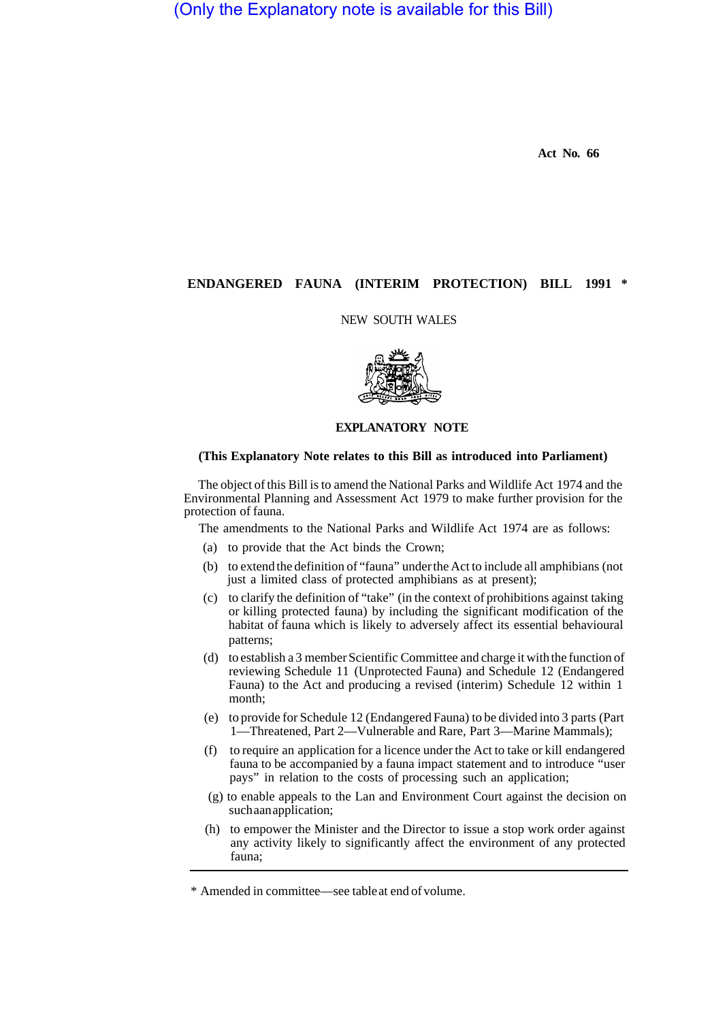(Only the Explanatory note is available for this Bill)

**Act No. 66** 

## **ENDANGERED FAUNA (INTERIM PROTECTION) BILL 1991 \***

## NEW SOUTH WALES



## **EXPLANATORY NOTE**

## **(This Explanatory Note relates to this Bill as introduced into Parliament)**

The object of this Bill is to amend the National Parks and Wildlife Act 1974 and the Environmental Planning and Assessment Act 1979 to make further provision for the protection of fauna.

The amendments to the National Parks and Wildlife Act 1974 are as follows:

- (a) to provide that the Act binds the Crown;
- (b) to extend the definition of "fauna" under the Act to include all amphibians (not just a limited class of protected amphibians as at present);
- (c) to clarify the definition of "take" (in the context of prohibitions against taking or killing protected fauna) by including the significant modification of the habitat of fauna which is likely to adversely affect its essential behavioural patterns;
- (d) to establish a 3 member Scientific Committee and charge it with the function of reviewing Schedule 11 (Unprotected Fauna) and Schedule 12 (Endangered Fauna) to the Act and producing a revised (interim) Schedule 12 within 1 month;
- (e) to provide for Schedule 12 (Endangered Fauna) to be divided into 3 parts (Part 1—Threatened, Part 2—Vulnerable and Rare, Part 3—Marine Mammals);
- (f) to require an application for a licence under the Act to take or kill endangered fauna to be accompanied by a fauna impact statement and to introduce "user pays" in relation to the costs of processing such an application;
- (g) to enable appeals to the Lan and Environment Court against the decision on such aan application;
- (h) to empower the Minister and the Director to issue a stop work order against any activity likely to significantly affect the environment of any protected fauna;

<sup>\*</sup> Amended in committee—see table at end of volume.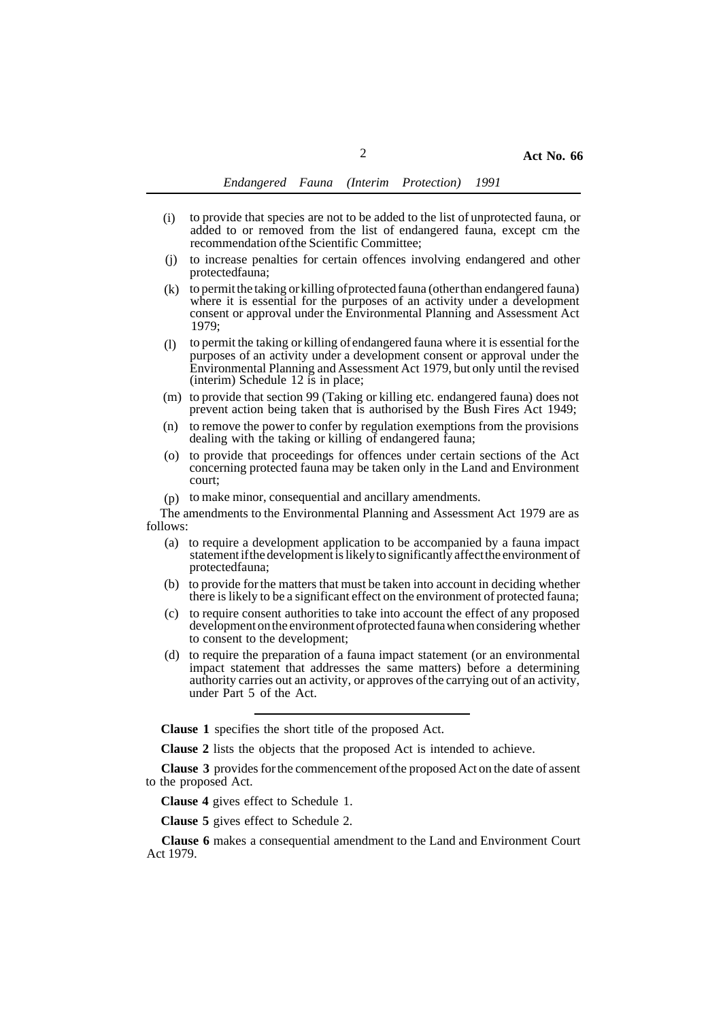- to provide that species are not to be added to the list of unprotected fauna, or added to or removed from the list of endangered fauna, except cm the recommendation of the Scientific Committee; (i)
- to increase penalties for certain offences involving endangered and other protected fauna; (j)
- $(k)$  to permit the taking or killing of protected fauna (other than endangered fauna) where it is essential for the purposes of an activity under a development consent or approval under the Environmental Planning and Assessment Act 1979;
- to permit the taking or killing of endangered fauna where it is essential for the purposes of an activity under a development consent or approval under the Environmental Planning and Assessment Act 1979, but only until the revised (interim) Schedule 12 is in place; (l)
- (m) to provide that section 99 (Taking or killing etc. endangered fauna) does not prevent action being taken that is authorised by the Bush Fires Act 1949;
- $(n)$  to remove the power to confer by regulation exemptions from the provisions dealing with the taking or killing of endangered fauna;
- (o) to provide that proceedings for offences under certain sections of the Act concerning protected fauna may be taken only in the Land and Environment court;
- (p) to make minor, consequential and ancillary amendments.

The amendments to the Environmental Planning and Assessment Act 1979 are as follows:

- (a) to require a development application to be accompanied by a fauna impact statement if the development is likely to significantly affect the environment of protected fauna;
- (b) to provide for the matters that must be taken into account in deciding whether there is likely to be a significant effect on the environment of protected fauna;
- (c) to require consent authorities to take into account the effect of any proposed development on the environment of protected fauna when considering whether to consent to the development;
- (d) to require the preparation of a fauna impact statement (or an environmental impact statement that addresses the same matters) before a determining authority carries out an activity, or approves of the carrying out of an activity, under Part 5 of the Act.

**Clause 1** specifies the short title of the proposed Act.

**Clause 2** lists the objects that the proposed Act is intended to achieve.

**Clause 3** provides for the commencement of the proposed Act on the date of assent to the proposed Act.

**Clause 4** gives effect to Schedule 1.

**Clause 5** gives effect to Schedule 2.

**Clause 6** makes a consequential amendment to the Land and Environment Court Act 1979.